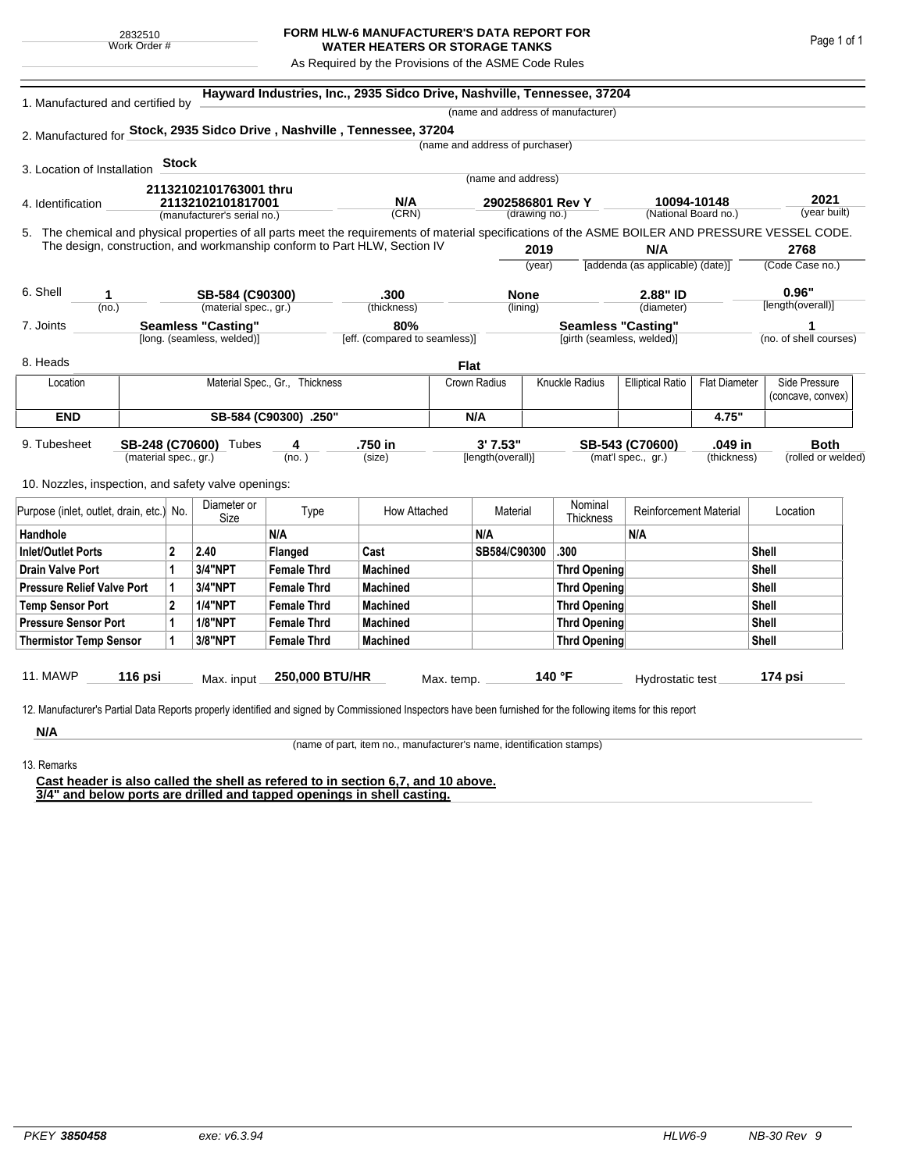## **FORM HLW-6 MANUFACTURER'S DATA REPORT FOR WATER HEATERS OR STORAGE TANKS**

As Required by the Provisions of the ASME Code Rules

| 1. Manufactured and certified by                                                                                                                   |                            | (name and address of manufacturer)          |                           |                                                                           |              |                            |                                 |                           |                                  |                        |                    |  |  |
|----------------------------------------------------------------------------------------------------------------------------------------------------|----------------------------|---------------------------------------------|---------------------------|---------------------------------------------------------------------------|--------------|----------------------------|---------------------------------|---------------------------|----------------------------------|------------------------|--------------------|--|--|
| 2. Manufactured for Stock, 2935 Sidco Drive, Nashville, Tennessee, 37204                                                                           |                            |                                             |                           |                                                                           |              |                            |                                 |                           |                                  |                        |                    |  |  |
|                                                                                                                                                    |                            |                                             |                           |                                                                           |              |                            | (name and address of purchaser) |                           |                                  |                        |                    |  |  |
| 3. Location of Installation                                                                                                                        |                            | <b>Stock</b>                                |                           |                                                                           |              |                            |                                 |                           |                                  |                        |                    |  |  |
|                                                                                                                                                    |                            |                                             |                           |                                                                           |              |                            | (name and address)              |                           |                                  |                        |                    |  |  |
| 4. Identification                                                                                                                                  |                            | 21132102101763001 thru<br>21132102101817001 |                           | N/A                                                                       |              | 2902586801 Rev Y           |                                 | 10094-10148               |                                  | 2021                   |                    |  |  |
| (manufacturer's serial no.)                                                                                                                        |                            |                                             |                           |                                                                           | (CRN)        |                            | (drawing no.)                   |                           | (National Board no.)             |                        | (year built)       |  |  |
| 5. The chemical and physical properties of all parts meet the requirements of material specifications of the ASME BOILER AND PRESSURE VESSEL CODE. |                            |                                             |                           |                                                                           |              |                            |                                 |                           |                                  |                        |                    |  |  |
|                                                                                                                                                    |                            |                                             |                           | The design, construction, and workmanship conform to Part HLW, Section IV |              |                            | 2019                            |                           | N/A                              |                        | 2768               |  |  |
|                                                                                                                                                    |                            |                                             |                           |                                                                           |              |                            | (vear)                          |                           | [addenda (as applicable) (date)] |                        | (Code Case no.)    |  |  |
| 6. Shell<br>1                                                                                                                                      |                            |                                             | SB-584 (C90300)           |                                                                           | .300         |                            | <b>None</b>                     |                           | 2.88" ID                         |                        | 0.96"              |  |  |
| (no.)                                                                                                                                              |                            |                                             | (material spec., gr.)     |                                                                           | (thickness)  |                            | (lining)                        |                           | (diameter)                       |                        | [length(overall)]  |  |  |
| 7. Joints                                                                                                                                          |                            |                                             | <b>Seamless "Casting"</b> |                                                                           | 80%          |                            |                                 | <b>Seamless "Casting"</b> |                                  |                        |                    |  |  |
|                                                                                                                                                    | [long. (seamless, welded)] |                                             |                           | [eff. (compared to seamless)]                                             |              | [girth (seamless, welded)] |                                 |                           |                                  | (no. of shell courses) |                    |  |  |
| 8. Heads                                                                                                                                           |                            |                                             |                           |                                                                           |              | <b>Flat</b>                |                                 |                           |                                  |                        |                    |  |  |
| Location                                                                                                                                           |                            |                                             |                           | Material Spec., Gr., Thickness                                            |              | Crown Radius               |                                 | Knuckle Radius            | <b>Elliptical Ratio</b>          | <b>Flat Diameter</b>   | Side Pressure      |  |  |
|                                                                                                                                                    |                            |                                             |                           |                                                                           |              |                            |                                 |                           |                                  |                        | (concave, convex)  |  |  |
| <b>END</b>                                                                                                                                         |                            |                                             |                           | SB-584 (C90300) .250"                                                     |              | N/A                        |                                 |                           |                                  | 4.75"                  |                    |  |  |
| 9. Tubesheet                                                                                                                                       |                            |                                             | SB-248 (C70600) Tubes     | 4                                                                         | .750 in      |                            | 3' 7.53"                        |                           | SB-543 (C70600)                  | .049 in                | <b>Both</b>        |  |  |
| (material spec., gr.)                                                                                                                              |                            |                                             |                           | (no. )                                                                    | (size)       |                            | [length(overall)]               |                           | (mat'l spec., gr.)               | (thickness)            | (rolled or welded) |  |  |
| 10. Nozzles, inspection, and safety valve openings:                                                                                                |                            |                                             |                           |                                                                           |              |                            |                                 |                           |                                  |                        |                    |  |  |
|                                                                                                                                                    |                            |                                             | Diameter or               |                                                                           |              |                            |                                 | Nominal                   |                                  |                        |                    |  |  |
| Purpose (inlet, outlet, drain, etc.) No.                                                                                                           |                            |                                             | Size                      | Type                                                                      | How Attached |                            | Material                        | Thickness                 | <b>Reinforcement Material</b>    |                        | Location           |  |  |
| Handhole                                                                                                                                           |                            |                                             |                           | N/A                                                                       |              |                            | N/A                             |                           | N/A                              |                        |                    |  |  |
| <b>Inlet/Outlet Ports</b>                                                                                                                          |                            | $\mathbf{2}$                                | 2.40                      | Flanged                                                                   | Cast         |                            | SB584/C90300                    | .300                      |                                  |                        | <b>Shell</b>       |  |  |
| <b>Drain Valve Port</b>                                                                                                                            |                            | 1                                           | 3/4"NPT                   | <b>Female Thrd</b>                                                        | Machined     |                            |                                 | <b>Thrd Opening</b>       |                                  |                        | Shell              |  |  |
| <b>Pressure Relief Valve Port</b>                                                                                                                  | 1                          | 3/4"NPT                                     | <b>Female Thrd</b>        | Machined                                                                  |              |                            | <b>Thrd Opening</b>             |                           |                                  | <b>Shell</b>           |                    |  |  |
| <b>Temp Sensor Port</b>                                                                                                                            |                            | $\overline{2}$                              | <b>1/4"NPT</b>            | <b>Female Thrd</b>                                                        | Machined     |                            |                                 | <b>Thrd Opening</b>       |                                  |                        | Shell              |  |  |
| <b>Pressure Sensor Port</b>                                                                                                                        | 1                          | <b>1/8"NPT</b>                              | <b>Female Thrd</b>        | <b>Machined</b>                                                           |              |                            | Thrd Opening                    |                           |                                  | <b>Shell</b>           |                    |  |  |
| <b>Thermistor Temp Sensor</b>                                                                                                                      |                            |                                             | 3/8"NPT                   | <b>Female Thrd</b>                                                        | Machined     |                            |                                 | Thrd Opening              |                                  |                        | Shell              |  |  |
|                                                                                                                                                    |                            |                                             |                           |                                                                           |              |                            |                                 |                           |                                  |                        |                    |  |  |
| 11. MAWP                                                                                                                                           | 116 psi                    |                                             | Max. input                | 250,000 BTU/HR                                                            |              | Max. temp.                 |                                 | 140 °F                    | Hydrostatic test                 |                        | 174 psi            |  |  |

**N/A**

(name of part, item no., manufacturer's name, identification stamps)

13. Remarks

**Cast header is also called the shell as refered to in section 6,7, and 10 above. 3/4" and below ports are drilled and tapped openings in shell casting.**